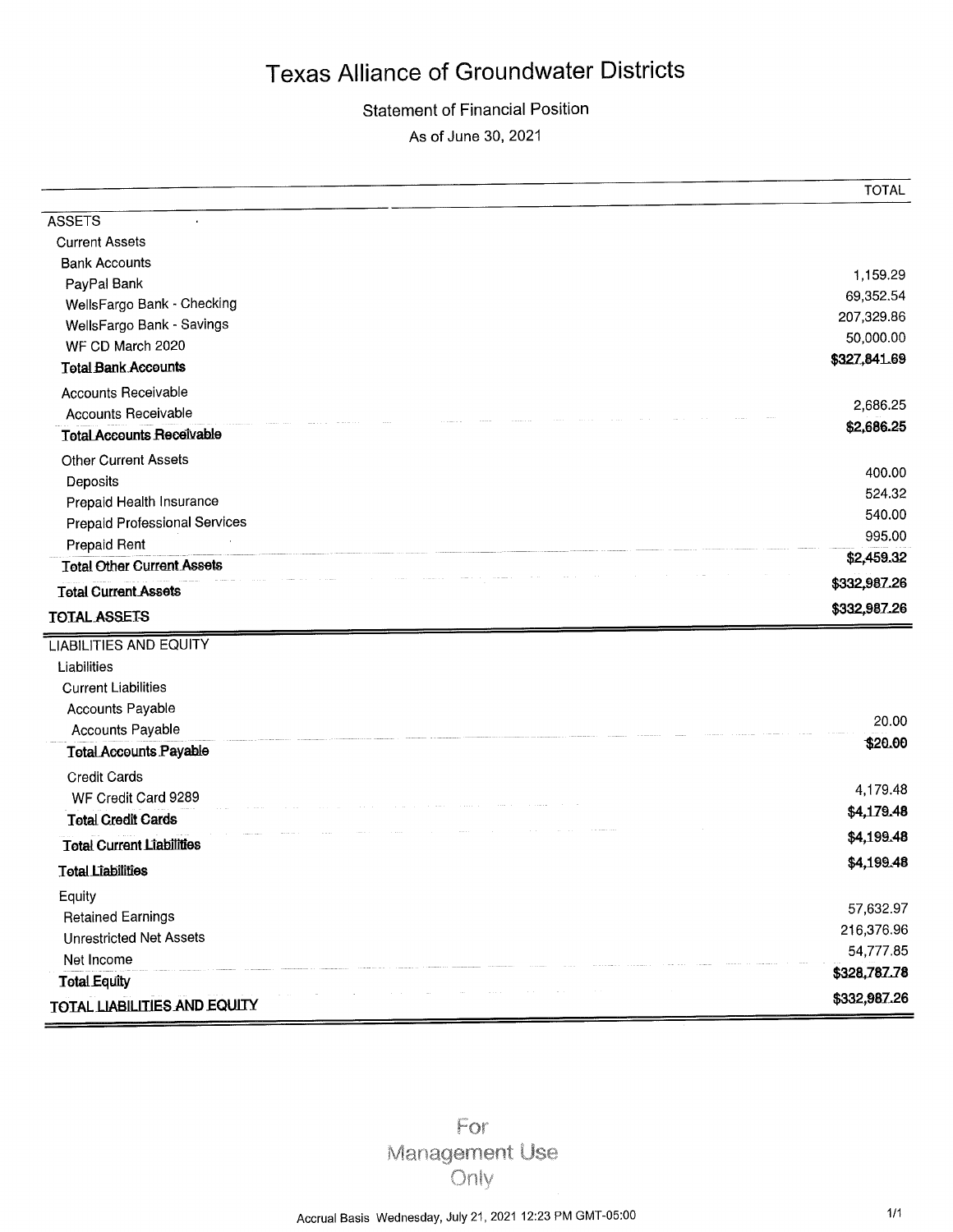## **Statement of Financial Position**

As of June 30, 2021

|                                      | TUTAL                 |
|--------------------------------------|-----------------------|
| <b>ASSETS</b>                        |                       |
| <b>Current Assets</b>                |                       |
| <b>Bank Accounts</b>                 |                       |
| PayPal Bank                          | 1,159.29<br>69,352.54 |
| WellsFargo Bank - Checking           | 207,329.86            |
| WellsFargo Bank - Savings            | 50,000.00             |
| WF CD March 2020                     | \$327,841.69          |
| <b>Total Bank Accounts</b>           |                       |
| <b>Accounts Receivable</b>           | 2,686.25              |
| <b>Accounts Receivable</b>           | \$2,686.25            |
| <b>Total Accounts Receivable</b>     |                       |
| <b>Other Current Assets</b>          |                       |
| Deposits                             | 400.00<br>524.32      |
| Prepaid Health Insurance             | 540.00                |
| <b>Prepaid Professional Services</b> | 995.00                |
| <b>Prepaid Rent</b>                  | \$2,459.32            |
| <b>Total Other Current Assets</b>    |                       |
| <b>Total Current Assets</b>          | \$332,987.26          |
| <b>TOTAL ASSETS</b>                  | \$332,987.26          |
| <b>LIABILITIES AND EQUITY</b>        |                       |
| Liabilities                          |                       |
| <b>Current Liabilities</b>           |                       |
| Accounts Payable                     |                       |
| Accounts Payable                     | 20.00                 |
| <b>Total Accounts Payable</b>        | \$20.00               |
| <b>Credit Cards</b>                  |                       |
| WF Credit Card 9289                  | 4,179.48              |
| <b>Total Credit Cards</b>            | \$4,179.48            |
| <b>Total Current Liabilities</b>     | \$4,199.48            |
| <b>Total Liabilities</b>             | \$4,199.48            |
| Equity                               |                       |
| <b>Retained Earnings</b>             | 57,632.97             |
| <b>Unrestricted Net Assets</b>       | 216,376.96            |
| Net Income                           | 54,777.85             |
|                                      | \$328,787.78          |
| <b>Total Equity</b>                  | \$332,987.26          |

For Management Use Only

 $T$  $(T$  $\Lambda$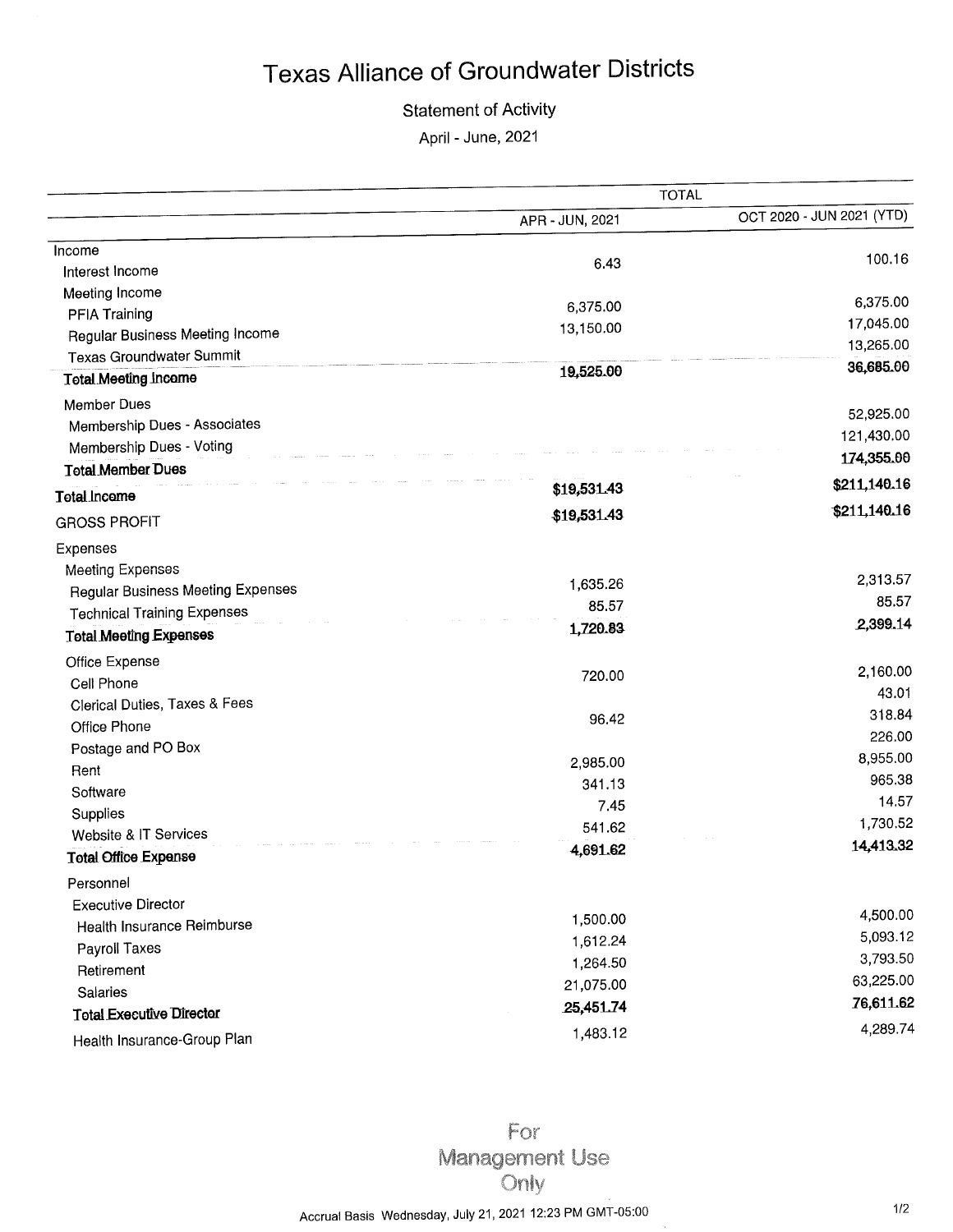## **Statement of Activity**

April - June, 2021

|                                          | <b>TOTAL</b>    |                           |  |
|------------------------------------------|-----------------|---------------------------|--|
|                                          | APR - JUN, 2021 | OCT 2020 - JUN 2021 (YTD) |  |
| Income                                   |                 | 100.16                    |  |
| Interest Income                          | 6.43            |                           |  |
| Meeting Income                           |                 |                           |  |
| PFIA Training                            | 6,375.00        | 6,375.00                  |  |
| <b>Regular Business Meeting Income</b>   | 13,150.00       | 17,045.00<br>13,265.00    |  |
| <b>Texas Groundwater Summit</b>          |                 |                           |  |
| <b>Total Meeting Income</b>              | 19,525.00       | 36,685.00                 |  |
| Member Dues                              |                 | 52,925.00                 |  |
| Membership Dues - Associates             |                 |                           |  |
| Membership Dues - Voting                 |                 | 121,430.00                |  |
| <b>Total Member Dues</b>                 |                 | 174,355.00                |  |
| Total Income                             | \$19,531.43     | \$211,140.16              |  |
| <b>GROSS PROFIT</b>                      | \$19,531.43     | \$211,140.16              |  |
| Expenses                                 |                 |                           |  |
| <b>Meeting Expenses</b>                  |                 | 2,313.57                  |  |
| <b>Regular Business Meeting Expenses</b> | 1,635.26        | 85.57                     |  |
| <b>Technical Training Expenses</b>       | 85.57           |                           |  |
| <b>Total Meeting Expenses</b>            | 1,720.83        | 2,399.14                  |  |
| Office Expense                           |                 | 2,160.00                  |  |
| Cell Phone                               | 720.00          | 43.01                     |  |
| Clerical Duties, Taxes & Fees            |                 | 318.84                    |  |
| Office Phone                             | 96.42           | 226.00                    |  |
| Postage and PO Box                       |                 |                           |  |
| Rent                                     | 2,985.00        | 8,955.00<br>965.38        |  |
| Software                                 | 341.13          | 14.57                     |  |
| Supplies                                 | 7.45            |                           |  |
| Website & IT Services                    | 541.62          | 1,730.52                  |  |
| <b>Total Office Expense</b>              | 4,691.62        | 14,413.32                 |  |
| Personnel                                |                 |                           |  |
| <b>Executive Director</b>                |                 |                           |  |
| Health Insurance Reimburse               | 1,500.00        | 4,500.00                  |  |
| <b>Payroll Taxes</b>                     | 1,612.24        | 5,093.12                  |  |
| Retirement                               | 1,264.50        | 3,793.50                  |  |
| Salaries                                 | 21,075.00       | 63,225.00                 |  |
| <b>Total Executive Director</b>          | 25,451.74       | 76,611.62                 |  |
| Health Insurance-Group Plan              | 1,483.12        | 4,289.74                  |  |

For Management Use Only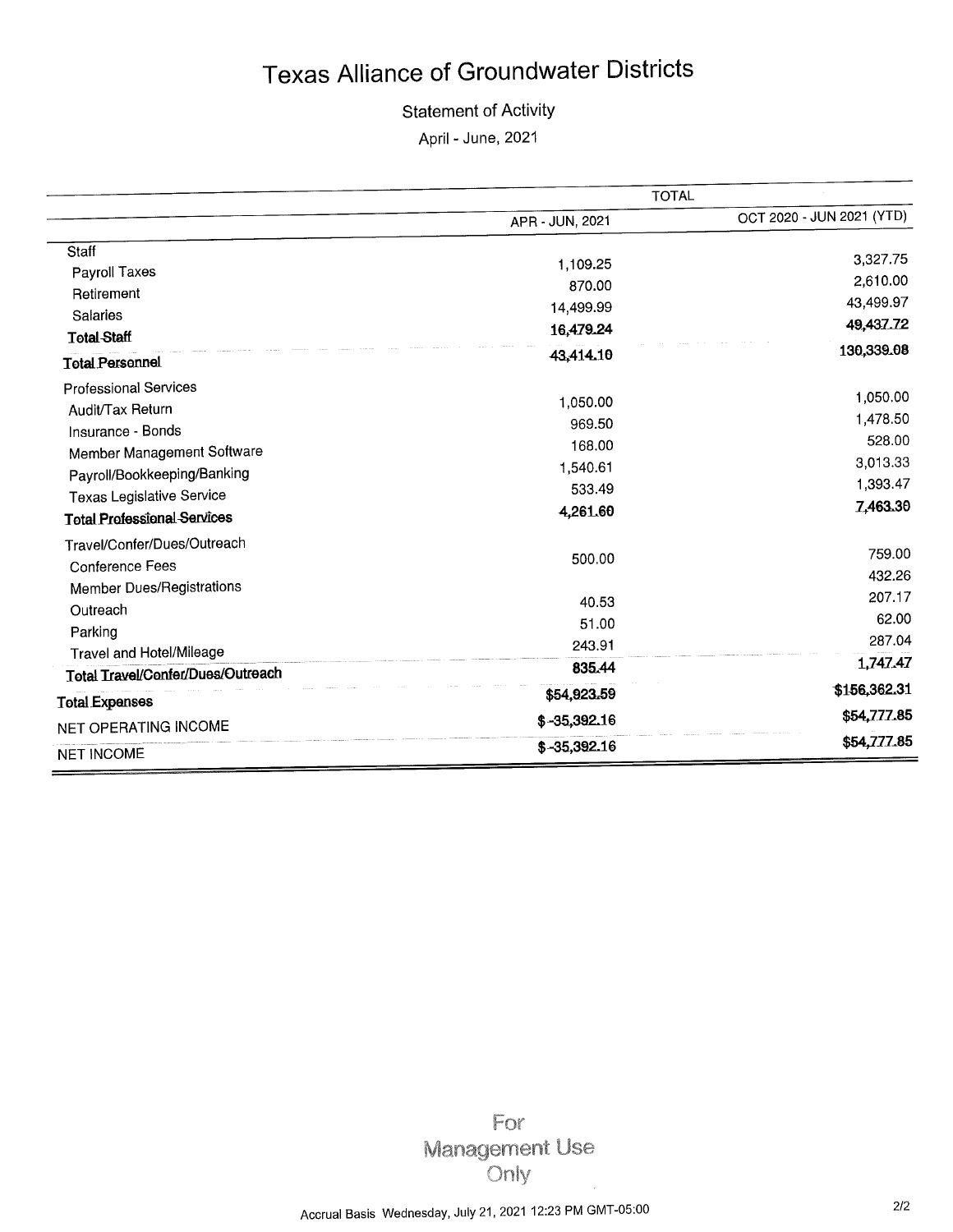#### **Statement of Activity**

April - June, 2021

|                                    | <b>TOTAL</b>    |                           |
|------------------------------------|-----------------|---------------------------|
|                                    | APR - JUN, 2021 | OCT 2020 - JUN 2021 (YTD) |
| Staff                              |                 | 3,327.75                  |
| Payroll Taxes                      | 1,109.25        | 2,610.00                  |
| Retirement                         | 870.00          | 43,499.97                 |
| Salaries                           | 14,499.99       |                           |
| <b>Total Staff</b>                 | 16,479.24       | 49,437.72                 |
| <b>Total Personnel</b>             | 43,414.10       | 130,339.08                |
| <b>Professional Services</b>       |                 | 1,050.00                  |
| Audit/Tax Return                   | 1,050.00        |                           |
| Insurance - Bonds                  | 969.50          | 1,478.50                  |
| Member Management Software         | 168,00          | 528.00                    |
| Payroll/Bookkeeping/Banking        | 1,540.61        | 3,013.33                  |
| Texas Legislative Service          | 533.49          | 1,393.47                  |
| <b>Total Professional Services</b> | 4,261.60        | 7,463.30                  |
| Travel/Confer/Dues/Outreach        |                 |                           |
| Conference Fees                    | 500.00          | 759.00                    |
| <b>Member Dues/Registrations</b>   |                 | 432.26                    |
| Outreach                           | 40.53           | 207.17                    |
| Parking                            | 51.00           | 62.00                     |
| Travel and Hotel/Mileage           | 243.91          | 287.04                    |
| Total Travel/Confer/Dues/Outreach  | 835.44          | 1,747.47                  |
| <b>Total Expenses</b>              | \$54,923.59     | \$156,362.31              |
| NET OPERATING INCOME               | $$-35,392.16$   | \$54,777.85               |
| <b>NET INCOME</b>                  | $$-35,392.16$   | \$54,777.85               |

For Management Use Only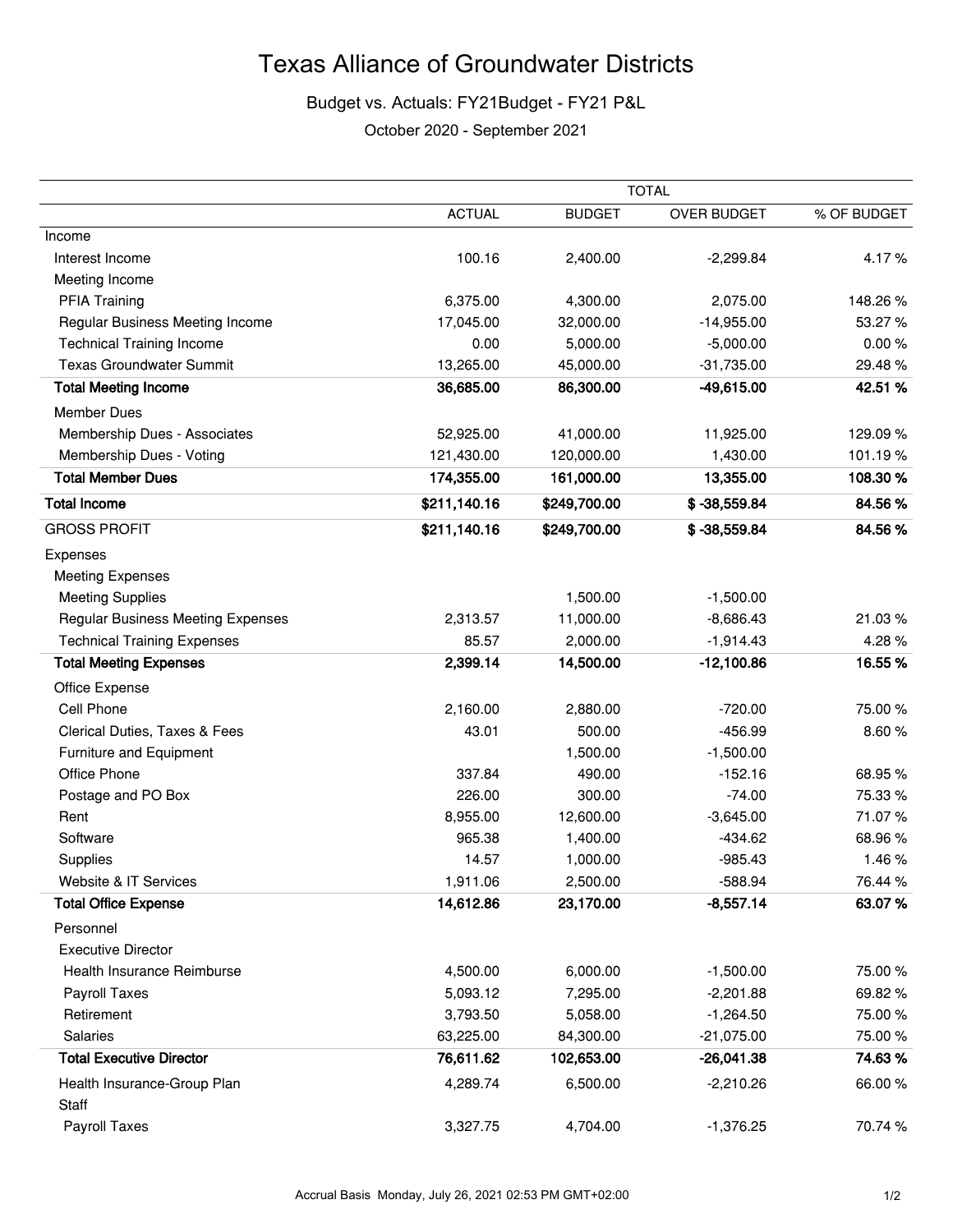## Budget vs. Actuals: FY21Budget - FY21 P&L

October 2020 - September 2021

|                                          | <b>TOTAL</b>  |               |                |             |
|------------------------------------------|---------------|---------------|----------------|-------------|
|                                          | <b>ACTUAL</b> | <b>BUDGET</b> | OVER BUDGET    | % OF BUDGET |
| Income                                   |               |               |                |             |
| Interest Income                          | 100.16        | 2,400.00      | $-2,299.84$    | 4.17%       |
| Meeting Income                           |               |               |                |             |
| <b>PFIA Training</b>                     | 6,375.00      | 4,300.00      | 2,075.00       | 148.26%     |
| Regular Business Meeting Income          | 17,045.00     | 32,000.00     | $-14,955.00$   | 53.27%      |
| <b>Technical Training Income</b>         | 0.00          | 5,000.00      | $-5,000.00$    | 0.00%       |
| <b>Texas Groundwater Summit</b>          | 13,265.00     | 45,000.00     | $-31,735.00$   | 29.48%      |
| <b>Total Meeting Income</b>              | 36,685.00     | 86,300.00     | $-49,615.00$   | 42.51%      |
| <b>Member Dues</b>                       |               |               |                |             |
| Membership Dues - Associates             | 52,925.00     | 41,000.00     | 11,925.00      | 129.09%     |
| Membership Dues - Voting                 | 121,430.00    | 120,000.00    | 1,430.00       | 101.19%     |
| <b>Total Member Dues</b>                 | 174,355.00    | 161,000.00    | 13,355.00      | 108.30%     |
| <b>Total Income</b>                      | \$211,140.16  | \$249,700.00  | $$ -38,559.84$ | 84.56%      |
| <b>GROSS PROFIT</b>                      | \$211,140.16  | \$249,700.00  | $$ -38,559.84$ | 84.56%      |
| Expenses                                 |               |               |                |             |
| <b>Meeting Expenses</b>                  |               |               |                |             |
| <b>Meeting Supplies</b>                  |               | 1,500.00      | $-1,500.00$    |             |
| <b>Regular Business Meeting Expenses</b> | 2,313.57      | 11,000.00     | $-8,686.43$    | 21.03%      |
| <b>Technical Training Expenses</b>       | 85.57         | 2,000.00      | $-1,914.43$    | 4.28%       |
| <b>Total Meeting Expenses</b>            | 2,399.14      | 14,500.00     | $-12,100.86$   | 16.55%      |
| Office Expense                           |               |               |                |             |
| Cell Phone                               | 2,160.00      | 2,880.00      | $-720.00$      | 75.00 %     |
| Clerical Duties, Taxes & Fees            | 43.01         | 500.00        | $-456.99$      | 8.60%       |
| Furniture and Equipment                  |               | 1,500.00      | $-1,500.00$    |             |
| Office Phone                             | 337.84        | 490.00        | $-152.16$      | 68.95%      |
| Postage and PO Box                       | 226.00        | 300.00        | $-74.00$       | 75.33 %     |
| Rent                                     | 8,955.00      | 12,600.00     | $-3,645.00$    | 71.07%      |
| Software                                 | 965.38        | 1,400.00      | $-434.62$      | 68.96%      |
| Supplies                                 | 14.57         | 1,000.00      | $-985.43$      | 1.46%       |
| Website & IT Services                    | 1,911.06      | 2,500.00      | $-588.94$      | 76.44 %     |
| <b>Total Office Expense</b>              | 14,612.86     | 23,170.00     | $-8,557.14$    | 63.07%      |
| Personnel                                |               |               |                |             |
| <b>Executive Director</b>                |               |               |                |             |
| Health Insurance Reimburse               | 4,500.00      | 6,000.00      | $-1,500.00$    | 75.00%      |
| Payroll Taxes                            | 5,093.12      | 7,295.00      | $-2,201.88$    | 69.82%      |
| Retirement                               | 3,793.50      | 5,058.00      | $-1,264.50$    | 75.00%      |
| Salaries                                 | 63,225.00     | 84,300.00     | $-21,075.00$   | 75.00 %     |
| <b>Total Executive Director</b>          | 76,611.62     | 102,653.00    | $-26,041.38$   | 74.63%      |
| Health Insurance-Group Plan<br>Staff     | 4,289.74      | 6,500.00      | $-2,210.26$    | 66.00%      |
| Payroll Taxes                            | 3,327.75      | 4,704.00      | $-1,376.25$    | 70.74%      |